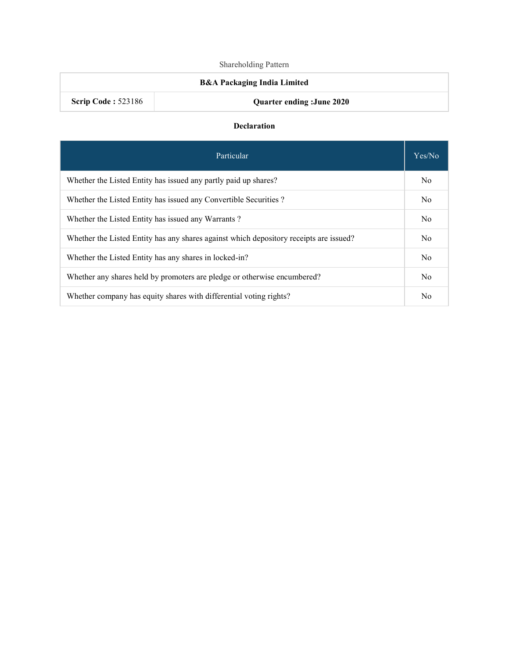# Shareholding Pattern

# B&A Packaging India Limited

Scrip Code : 523186 Quarter ending :June 2020

#### Declaration

| Particular                                                                             | Yes/No         |
|----------------------------------------------------------------------------------------|----------------|
| Whether the Listed Entity has issued any partly paid up shares?                        | N <sub>0</sub> |
| Whether the Listed Entity has issued any Convertible Securities?                       | No             |
| Whether the Listed Entity has issued any Warrants?                                     | N <sub>0</sub> |
| Whether the Listed Entity has any shares against which depository receipts are issued? | No             |
| Whether the Listed Entity has any shares in locked-in?                                 | N <sub>0</sub> |
| Whether any shares held by promoters are pledge or otherwise encumbered?               | N <sub>0</sub> |
| Whether company has equity shares with differential voting rights?                     | No             |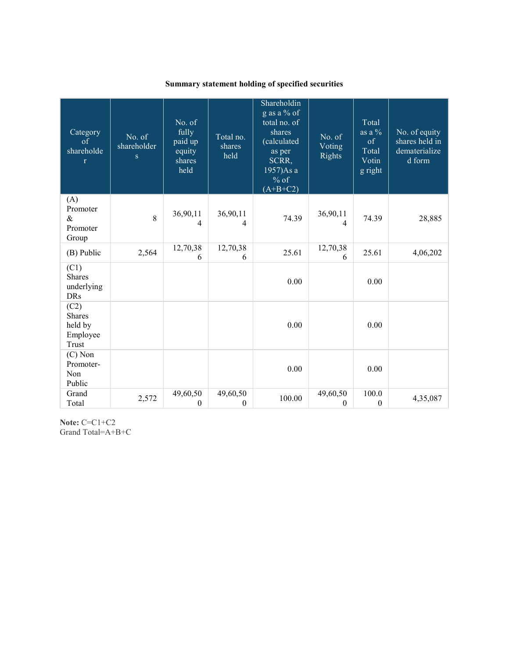# Summary statement holding of specified securities

| Category<br>$\sigma$<br>shareholde<br>$\mathbf{r}$ | No. of<br>shareholder<br>$\mathbf{s}$ | No. of<br>fully<br>paid up<br>equity<br>shares<br>held | Total no.<br>shares<br>held | Shareholdin<br>g as a % of<br>total no. of<br>shares<br>(calculated<br>as per<br>SCRR,<br>1957)As a<br>$%$ of<br>$(A+B+C2)$ | No. of<br>Voting<br>Rights | Total<br>as a $\%$<br>of<br>Total<br>Votin<br>g right | No. of equity<br>shares held in<br>dematerialize<br>d form |
|----------------------------------------------------|---------------------------------------|--------------------------------------------------------|-----------------------------|-----------------------------------------------------------------------------------------------------------------------------|----------------------------|-------------------------------------------------------|------------------------------------------------------------|
| (A)<br>Promoter<br>$\&$<br>Promoter<br>Group       | 8                                     | 36,90,11<br>4                                          | 36,90,11<br>4               | 74.39                                                                                                                       | 36,90,11<br>4              | 74.39                                                 | 28,885                                                     |
| (B) Public                                         | 2,564                                 | 12,70,38<br>6                                          | 12,70,38<br>6               | 25.61                                                                                                                       | 12,70,38<br>6              | 25.61                                                 | 4,06,202                                                   |
| (C1)<br><b>Shares</b><br>underlying<br><b>DRs</b>  |                                       |                                                        |                             | 0.00                                                                                                                        |                            | 0.00                                                  |                                                            |
| (C2)<br>Shares<br>held by<br>Employee<br>Trust     |                                       |                                                        |                             | 0.00                                                                                                                        |                            | 0.00                                                  |                                                            |
| $(C)$ Non<br>Promoter-<br>Non<br>Public            |                                       |                                                        |                             | 0.00                                                                                                                        |                            | 0.00                                                  |                                                            |
| Grand<br>Total                                     | 2,572                                 | 49,60,50<br>$\boldsymbol{0}$                           | 49,60,50<br>$\mathbf{0}$    | 100.00                                                                                                                      | 49,60,50<br>$\theta$       | 100.0<br>$\boldsymbol{0}$                             | 4,35,087                                                   |

Note: C=C1+C2 Grand Total=A+B+C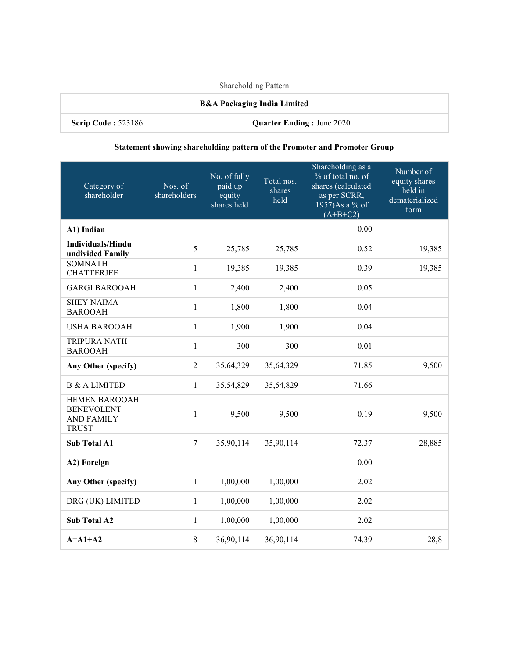Shareholding Pattern

# B&A Packaging India Limited

Scrip Code : 523186 Quarter Ending : June 2020

### Statement showing shareholding pattern of the Promoter and Promoter Group

| Category of<br>shareholder                                                     | Nos. of<br>shareholders | No. of fully<br>paid up<br>equity<br>shares held | Total nos.<br>shares<br>held | Shareholding as a<br>% of total no. of<br>shares (calculated<br>as per SCRR,<br>1957)As a % of<br>$(A+B+C2)$ | Number of<br>equity shares<br>held in<br>dematerialized<br>form |
|--------------------------------------------------------------------------------|-------------------------|--------------------------------------------------|------------------------------|--------------------------------------------------------------------------------------------------------------|-----------------------------------------------------------------|
| A1) Indian                                                                     |                         |                                                  |                              | 0.00                                                                                                         |                                                                 |
| <b>Individuals/Hindu</b><br>undivided Family                                   | 5                       | 25,785                                           | 25,785                       | 0.52                                                                                                         | 19,385                                                          |
| <b>SOMNATH</b><br><b>CHATTERJEE</b>                                            | $\mathbf{1}$            | 19,385                                           | 19,385                       | 0.39                                                                                                         | 19,385                                                          |
| <b>GARGI BAROOAH</b>                                                           | $\mathbf{1}$            | 2,400                                            | 2,400                        | 0.05                                                                                                         |                                                                 |
| <b>SHEY NAIMA</b><br><b>BAROOAH</b>                                            | $\mathbf{1}$            | 1,800                                            | 1,800                        | 0.04                                                                                                         |                                                                 |
| <b>USHA BAROOAH</b>                                                            | $\mathbf{1}$            | 1,900                                            | 1,900                        | 0.04                                                                                                         |                                                                 |
| <b>TRIPURA NATH</b><br><b>BAROOAH</b>                                          | $\mathbf{1}$            | 300                                              | 300                          | 0.01                                                                                                         |                                                                 |
| Any Other (specify)                                                            | $\overline{2}$          | 35,64,329                                        | 35,64,329                    | 71.85                                                                                                        | 9,500                                                           |
| <b>B &amp; A LIMITED</b>                                                       | $\mathbf{1}$            | 35,54,829                                        | 35,54,829                    | 71.66                                                                                                        |                                                                 |
| <b>HEMEN BAROOAH</b><br><b>BENEVOLENT</b><br><b>AND FAMILY</b><br><b>TRUST</b> | $\mathbf{1}$            | 9,500                                            | 9,500                        | 0.19                                                                                                         | 9,500                                                           |
| <b>Sub Total A1</b>                                                            | $\overline{7}$          | 35,90,114                                        | 35,90,114                    | 72.37                                                                                                        | 28,885                                                          |
| A2) Foreign                                                                    |                         |                                                  |                              | 0.00                                                                                                         |                                                                 |
| Any Other (specify)                                                            | $\mathbf{1}$            | 1,00,000                                         | 1,00,000                     | 2.02                                                                                                         |                                                                 |
| DRG (UK) LIMITED                                                               | $\mathbf{1}$            | 1,00,000                                         | 1,00,000                     | 2.02                                                                                                         |                                                                 |
| <b>Sub Total A2</b>                                                            | $\mathbf{1}$            | 1,00,000                                         | 1,00,000                     | 2.02                                                                                                         |                                                                 |
| $A = A1+A2$                                                                    | 8                       | 36,90,114                                        | 36,90,114                    | 74.39                                                                                                        | 28,8                                                            |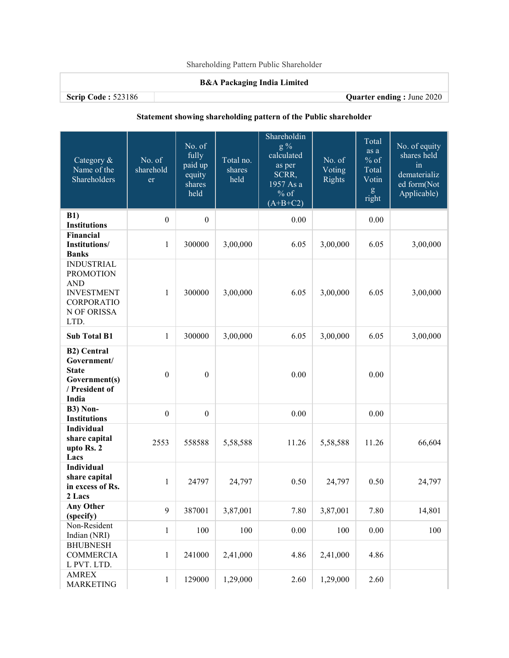## B&A Packaging India Limited

Scrip Code : 523186 Quarter ending : June 2020

# Statement showing shareholding pattern of the Public shareholder

| Category &<br>Name of the<br>Shareholders                                                                     | No. of<br>sharehold<br>er | No. of<br>fully<br>paid up<br>equity<br>shares<br>held | Total no.<br>shares<br>held | Shareholdin<br>$g\%$<br>calculated<br>as per<br>SCRR,<br>1957 As a<br>$%$ of<br>$(A+B+C2)$ | No. of<br>Voting<br><b>Rights</b> | Total<br>as a<br>$%$ of<br>Total<br>Votin<br>$\mathbf{g}% _{0}\left( \mathbf{r},\mathbf{r}\right)$<br>right | No. of equity<br>shares held<br>in<br>dematerializ<br>ed form(Not<br>Applicable) |
|---------------------------------------------------------------------------------------------------------------|---------------------------|--------------------------------------------------------|-----------------------------|--------------------------------------------------------------------------------------------|-----------------------------------|-------------------------------------------------------------------------------------------------------------|----------------------------------------------------------------------------------|
| <b>B1)</b><br><b>Institutions</b>                                                                             | $\boldsymbol{0}$          | $\boldsymbol{0}$                                       |                             | 0.00                                                                                       |                                   | 0.00                                                                                                        |                                                                                  |
| Financial<br>Institutions/<br><b>Banks</b>                                                                    | $\mathbf{1}$              | 300000                                                 | 3,00,000                    | 6.05                                                                                       | 3,00,000                          | 6.05                                                                                                        | 3,00,000                                                                         |
| <b>INDUSTRIAL</b><br><b>PROMOTION</b><br><b>AND</b><br><b>INVESTMENT</b><br>CORPORATIO<br>N OF ORISSA<br>LTD. | $\mathbf{1}$              | 300000                                                 | 3,00,000                    | 6.05                                                                                       | 3,00,000                          | 6.05                                                                                                        | 3,00,000                                                                         |
| <b>Sub Total B1</b>                                                                                           | $\mathbf{1}$              | 300000                                                 | 3,00,000                    | 6.05                                                                                       | 3,00,000                          | 6.05                                                                                                        | 3,00,000                                                                         |
| <b>B2)</b> Central<br>Government/<br><b>State</b><br>Government(s)<br>/ President of<br>India                 | $\boldsymbol{0}$          | $\boldsymbol{0}$                                       |                             | 0.00                                                                                       |                                   | 0.00                                                                                                        |                                                                                  |
| <b>B3)</b> Non-<br><b>Institutions</b>                                                                        | $\boldsymbol{0}$          | $\boldsymbol{0}$                                       |                             | 0.00                                                                                       |                                   | 0.00                                                                                                        |                                                                                  |
| Individual<br>share capital<br>upto Rs. 2<br>Lacs                                                             | 2553                      | 558588                                                 | 5,58,588                    | 11.26                                                                                      | 5,58,588                          | 11.26                                                                                                       | 66,604                                                                           |
| Individual<br>share capital<br>in excess of Rs.<br>2 Lacs                                                     | $\mathbf{1}$              | 24797                                                  | 24,797                      | 0.50                                                                                       | 24,797                            | 0.50                                                                                                        | 24,797                                                                           |
| <b>Any Other</b><br>(specify)                                                                                 | $\mathbf{9}$              | 387001                                                 | 3,87,001                    | 7.80                                                                                       | 3,87,001                          | 7.80                                                                                                        | 14,801                                                                           |
| Non-Resident<br>Indian (NRI)                                                                                  | $\mathbf{1}$              | 100                                                    | 100                         | 0.00                                                                                       | 100                               | 0.00                                                                                                        | 100                                                                              |
| <b>BHUBNESH</b><br><b>COMMERCIA</b><br>L PVT. LTD.                                                            | $\mathbf{1}$              | 241000                                                 | 2,41,000                    | 4.86                                                                                       | 2,41,000                          | 4.86                                                                                                        |                                                                                  |
| <b>AMREX</b><br><b>MARKETING</b>                                                                              | $\,1$                     | 129000                                                 | 1,29,000                    | 2.60                                                                                       | 1,29,000                          | 2.60                                                                                                        |                                                                                  |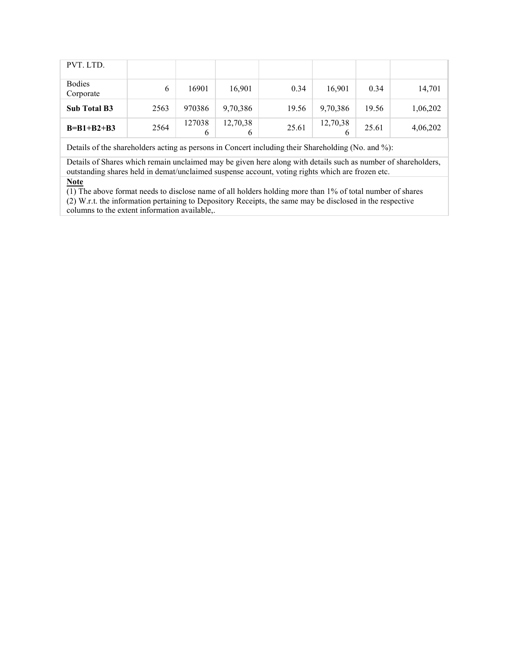| PVT. LTD.                  |      |             |               |       |          |       |          |
|----------------------------|------|-------------|---------------|-------|----------|-------|----------|
| <b>Bodies</b><br>Corporate | 6    | 16901       | 16,901        | 0.34  | 16,901   | 0.34  | 14,701   |
| <b>Sub Total B3</b>        | 2563 | 970386      | 9,70,386      | 19.56 | 9,70,386 | 19.56 | 1,06,202 |
| $B=B1+B2+B3$               | 2564 | 127038<br>6 | 12,70,38<br>O | 25.61 | 12,70,38 | 25.61 | 4,06,202 |

Details of the shareholders acting as persons in Concert including their Shareholding (No. and %):

Details of Shares which remain unclaimed may be given here along with details such as number of shareholders, outstanding shares held in demat/unclaimed suspense account, voting rights which are frozen etc. **Note** 

(1) The above format needs to disclose name of all holders holding more than 1% of total number of shares

(2) W.r.t. the information pertaining to Depository Receipts, the same may be disclosed in the respective columns to the extent information available,.